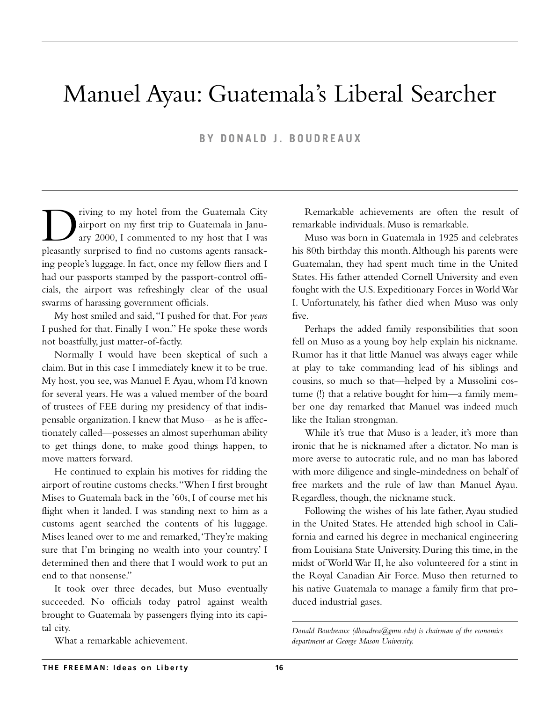# Manuel Ayau: Guatemala's Liberal Searcher

**BY DONALD J. BOUDREAUX**

The property of my hotel from the Guatemala City<br>airport on my first trip to Guatemala in Janu-<br>ary 2000, I commented to my host that I was<br>pleasantly surprised to find no customs agents ransackairport on my first trip to Guatemala in January 2000, I commented to my host that I was pleasantly surprised to find no customs agents ransacking people's luggage. In fact, once my fellow fliers and I had our passports stamped by the passport-control officials, the airport was refreshingly clear of the usual swarms of harassing government officials.

My host smiled and said,"I pushed for that. For *years* I pushed for that. Finally I won." He spoke these words not boastfully, just matter-of-factly.

Normally I would have been skeptical of such a claim. But in this case I immediately knew it to be true. My host, you see, was Manuel F. Ayau, whom I'd known for several years. He was a valued member of the board of trustees of FEE during my presidency of that indispensable organization. I knew that Muso—as he is affectionately called—possesses an almost superhuman ability to get things done, to make good things happen, to move matters forward.

He continued to explain his motives for ridding the airport of routine customs checks."When I first brought Mises to Guatemala back in the '60s, I of course met his flight when it landed. I was standing next to him as a customs agent searched the contents of his luggage. Mises leaned over to me and remarked,'They're making sure that I'm bringing no wealth into your country.' I determined then and there that I would work to put an end to that nonsense."

It took over three decades, but Muso eventually succeeded. No officials today patrol against wealth brought to Guatemala by passengers flying into its capital city.

What a remarkable achievement.

Remarkable achievements are often the result of remarkable individuals. Muso is remarkable.

Muso was born in Guatemala in 1925 and celebrates his 80th birthday this month.Although his parents were Guatemalan, they had spent much time in the United States. His father attended Cornell University and even fought with the U.S. Expeditionary Forces in World War I. Unfortunately, his father died when Muso was only five.

Perhaps the added family responsibilities that soon fell on Muso as a young boy help explain his nickname. Rumor has it that little Manuel was always eager while at play to take commanding lead of his siblings and cousins, so much so that—helped by a Mussolini costume (!) that a relative bought for him—a family member one day remarked that Manuel was indeed much like the Italian strongman.

While it's true that Muso is a leader, it's more than ironic that he is nicknamed after a dictator. No man is more averse to autocratic rule, and no man has labored with more diligence and single-mindedness on behalf of free markets and the rule of law than Manuel Ayau. Regardless, though, the nickname stuck.

Following the wishes of his late father, Ayau studied in the United States. He attended high school in California and earned his degree in mechanical engineering from Louisiana State University. During this time, in the midst of World War II, he also volunteered for a stint in the Royal Canadian Air Force. Muso then returned to his native Guatemala to manage a family firm that produced industrial gases.

*Donald Boudreaux (dboudrea@gmu.edu) is chairman of the economics department at George Mason University.*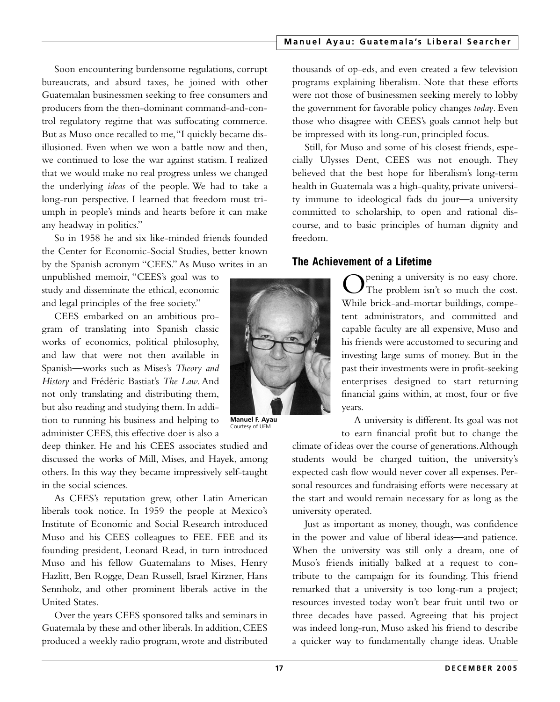#### **Manuel Ayau: Guatemala 's Liberal Searcher**

Soon encountering burdensome regulations, corrupt bureaucrats, and absurd taxes, he joined with other Guatemalan businessmen seeking to free consumers and producers from the then-dominant command-and-control regulatory regime that was suffocating commerce. But as Muso once recalled to me,"I quickly became disillusioned. Even when we won a battle now and then, we continued to lose the war against statism. I realized that we would make no real progress unless we changed the underlying *ideas* of the people. We had to take a long-run perspective. I learned that freedom must triumph in people's minds and hearts before it can make any headway in politics."

So in 1958 he and six like-minded friends founded the Center for Economic-Social Studies, better known by the Spanish acronym "CEES."As Muso writes in an

unpublished memoir, "CEES's goal was to study and disseminate the ethical, economic and legal principles of the free society."

CEES embarked on an ambitious program of translating into Spanish classic works of economics, political philosophy, and law that were not then available in Spanish—works such as Mises's *Theory and History* and Frédéric Bastiat's *The Law*. And not only translating and distributing them, but also reading and studying them. In addition to running his business and helping to administer CEES, this effective doer is also a

deep thinker. He and his CEES associates studied and discussed the works of Mill, Mises, and Hayek, among others. In this way they became impressively self-taught in the social sciences.

As CEES's reputation grew, other Latin American liberals took notice. In 1959 the people at Mexico's Institute of Economic and Social Research introduced Muso and his CEES colleagues to FEE. FEE and its founding president, Leonard Read, in turn introduced Muso and his fellow Guatemalans to Mises, Henry Hazlitt, Ben Rogge, Dean Russell, Israel Kirzner, Hans Sennholz, and other prominent liberals active in the United States.

Over the years CEES sponsored talks and seminars in Guatemala by these and other liberals.In addition,CEES produced a weekly radio program, wrote and distributed

**Manuel F. Ayau** Courtesy of UFM

thousands of op-eds, and even created a few television programs explaining liberalism. Note that these efforts were not those of businessmen seeking merely to lobby the government for favorable policy changes *today*. Even those who disagree with CEES's goals cannot help but be impressed with its long-run, principled focus.

Still, for Muso and some of his closest friends, especially Ulysses Dent, CEES was not enough. They believed that the best hope for liberalism's long-term health in Guatemala was a high-quality, private university immune to ideological fads du jour—a university committed to scholarship, to open and rational discourse, and to basic principles of human dignity and freedom.

## **The Achievement of a Lifetime**

Opening a university is no easy chore.<br>The problem isn't so much the cost. While brick-and-mortar buildings, competent administrators, and committed and capable faculty are all expensive, Muso and his friends were accustomed to securing and investing large sums of money. But in the past their investments were in profit-seeking enterprises designed to start returning financial gains within, at most, four or five years.

A university is different. Its goal was not to earn financial profit but to change the

climate of ideas over the course of generations.Although students would be charged tuition, the university's expected cash flow would never cover all expenses. Personal resources and fundraising efforts were necessary at the start and would remain necessary for as long as the university operated.

Just as important as money, though, was confidence in the power and value of liberal ideas—and patience. When the university was still only a dream, one of Muso's friends initially balked at a request to contribute to the campaign for its founding. This friend remarked that a university is too long-run a project; resources invested today won't bear fruit until two or three decades have passed. Agreeing that his project was indeed long-run, Muso asked his friend to describe a quicker way to fundamentally change ideas. Unable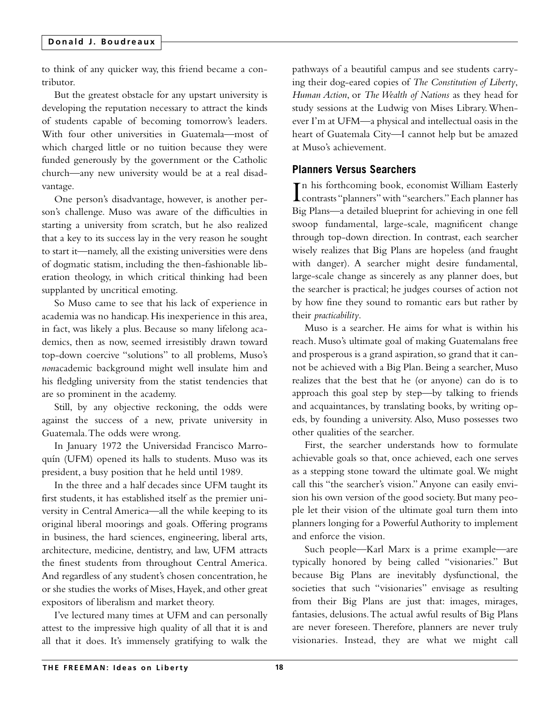to think of any quicker way, this friend became a contributor.

But the greatest obstacle for any upstart university is developing the reputation necessary to attract the kinds of students capable of becoming tomorrow's leaders. With four other universities in Guatemala—most of which charged little or no tuition because they were funded generously by the government or the Catholic church—any new university would be at a real disadvantage.

One person's disadvantage, however, is another person's challenge. Muso was aware of the difficulties in starting a university from scratch, but he also realized that a key to its success lay in the very reason he sought to start it—namely, all the existing universities were dens of dogmatic statism, including the then-fashionable liberation theology, in which critical thinking had been supplanted by uncritical emoting.

So Muso came to see that his lack of experience in academia was no handicap. His inexperience in this area, in fact, was likely a plus. Because so many lifelong academics, then as now, seemed irresistibly drawn toward top-down coercive "solutions" to all problems, Muso's *non*academic background might well insulate him and his fledgling university from the statist tendencies that are so prominent in the academy.

Still, by any objective reckoning, the odds were against the success of a new, private university in Guatemala.The odds were wrong.

In January 1972 the Universidad Francisco Marroquín (UFM) opened its halls to students. Muso was its president, a busy position that he held until 1989.

In the three and a half decades since UFM taught its first students, it has established itself as the premier university in Central America—all the while keeping to its original liberal moorings and goals. Offering programs in business, the hard sciences, engineering, liberal arts, architecture, medicine, dentistry, and law, UFM attracts the finest students from throughout Central America. And regardless of any student's chosen concentration, he or she studies the works of Mises, Hayek, and other great expositors of liberalism and market theory.

I've lectured many times at UFM and can personally attest to the impressive high quality of all that it is and all that it does. It's immensely gratifying to walk the

pathways of a beautiful campus and see students carrying their dog-eared copies of *The Constitution of Liberty*, *Human Action*, or *The Wealth of Nations* as they head for study sessions at the Ludwig von Mises Library.Whenever I'm at UFM—a physical and intellectual oasis in the heart of Guatemala City—I cannot help but be amazed at Muso's achievement.

## **Planners Versus Searchers**

In his forthcoming book, economist William Easterly<br>contrasts "planners" with "searchers." Each planner has contrasts "planners"with "searchers."Each planner has Big Plans—a detailed blueprint for achieving in one fell swoop fundamental, large-scale, magnificent change through top-down direction. In contrast, each searcher wisely realizes that Big Plans are hopeless (and fraught with danger). A searcher might desire fundamental, large-scale change as sincerely as any planner does, but the searcher is practical; he judges courses of action not by how fine they sound to romantic ears but rather by their *practicability*.

Muso is a searcher. He aims for what is within his reach. Muso's ultimate goal of making Guatemalans free and prosperous is a grand aspiration, so grand that it cannot be achieved with a Big Plan. Being a searcher, Muso realizes that the best that he (or anyone) can do is to approach this goal step by step—by talking to friends and acquaintances, by translating books, by writing opeds, by founding a university. Also, Muso possesses two other qualities of the searcher.

First, the searcher understands how to formulate achievable goals so that, once achieved, each one serves as a stepping stone toward the ultimate goal.We might call this "the searcher's vision." Anyone can easily envision his own version of the good society. But many people let their vision of the ultimate goal turn them into planners longing for a Powerful Authority to implement and enforce the vision.

Such people—Karl Marx is a prime example—are typically honored by being called "visionaries." But because Big Plans are inevitably dysfunctional, the societies that such "visionaries" envisage as resulting from their Big Plans are just that: images, mirages, fantasies, delusions.The actual awful results of Big Plans are never foreseen. Therefore, planners are never truly visionaries. Instead, they are what we might call